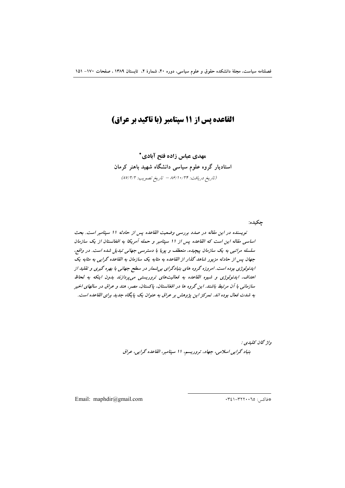# **القاعده پس از ۱۱ سپتامبر (با تاکید بر عراق)**

**- -**  استادیار گروه علوم سیاسی دانشگاه شهید باهنر کرمان (تاریخ دریافت: ۸۶/۱۰/۲۴ – تاریخ تصویب: ۸۷/۲/۲)

 $i$  تویسنده در این مقاله در صدد بررسی وضعیت القاعده پس از حادثه ۱۱ سپتامبر است. بحث اساسی مقاله این است که القاعده پس از 11 سپتامبر و حمله آمریکا به افغانستان از یک سازمان سلسله مراتبی به یک سازمان پیچیده، منعطف و پویا با دسترسی جهانی تبدیل شده است. در واقع، جهان پس از حادثه مزبور شاهد گذار از القاعده به مثابه یک سازمان به القاعده گرایی به مثابه یک ایدئولوژی بوده است. امروزه گروه های بنیادگرای بی شمار در سطح جهانی با بهره گیری و تقلید از اهداف، ایدئولوژی و شیوه القاعده به فعالیتهای تروریستی میپردازند بدون اینکه به لحاظ سازمانی با آن مرتبط باشند. این گروه ها در افغانستان، پاکستان، مصر، هند و عراق در سالهای اخیر به شدت فعال بوده اند. تمرکز این پژوهش بر عراق به عنوان یک پایگاه جدید برای القاعده است.

> واژ گان كلي*دي :*  $\bm{u}$  بنیاد گرایی اسلامی، جهاد، تروریسم، ۱۱ سپتامبر، القاعده گرایی، عراق

Email: maphdir@gmail.com

\*فاكس: ١٣٢٦٠٠٦٥-٢٤١

**:- <**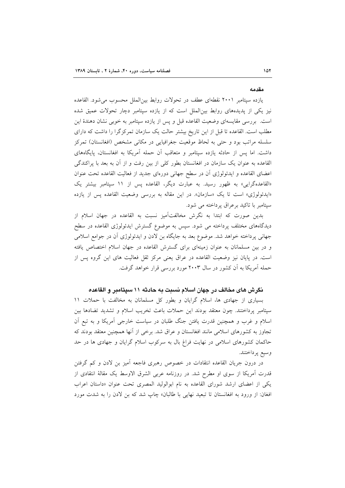#### مقدمه

يازده سيتامبر ٢٠٠١ نقطهاي عطف در تحولات روابط بين الملل محسوب مي شود. القاعده نیز یکی از پدیدههای روابط بینالملل است که از یازده سپتامبر دچار تحولات عمیق شده است. بررسی مقایسهای وضعیت القاعده قبل و پس از یازده سپتامبر به خوبی نشان دهندهٔ این مطلب است. القاعده تا قبل از این تاریخ بیشتر حالت یک سازمان تمرکزگرا را داشت که دارای سلسله مراتب بود و حتى به لحاظ موقعيت جغرافيايى در مكانى مشخص (افغانستان) تمركز داشت. اما پس از حادثه یازده سیتامبر و متعاقب آن حمله آمریکا به افغانستان، پایگاههای القاعده به عنوان یک سازمان در افغانستان بطور کلی از بین رفت و از آن به بعد با پراکندگی اعضای القاعده و ایدئولوژی آن در سطح جهانی دورهای جدید از فعالیت القاعده تحت عنوان «القاعدهگرایی» به ظهور رسید. به عبارت دیگر، القاعده پس از ۱۱ سپتامبر بیشتر یک «ايدئولوژي» است تا يک «سازمان». در اين مقاله به بررسي وضعيت القاعده يس از يازده سیتامبر با تاکید برعراق پرداخته می شود.

بدین صورت که ابتدا به نگرش مخالفتآمیز نسبت به القاعده در جهان اسلام از دیدگاههای مختلف پرداخته می شود. سپس به موضوع گسترش ایدئولوژی القاعده در سطح جهانی پرداخته خواهد شد. موضوع بعد به جایگاه بن لادن و ایدئولوژی آن در جوامع اسلامی و در بین مسلمانان به عنوان زمینهای برای گسترش القاعده در جهان اسلام اختصاص یافته است. در پایان نیز وضعیت القاعده در عراق یعنی مرکز ثقل فعالیت های این گروه پس از حمله آمریکا به آن کشور در سال ۲۰۰۳ مورد بررسی قرار خواهد گرفت.

# نگرش های مخالف در جهان اسلام نسبت به حادثه ۱۱ سیتامبر و القاعده

بسیاری از جهادی ها، اسلام گرایان و بطور کل مسلمانان به مخالفت با حملات ١١ سپتامبر پرداختند. چون معتقد بودند این حملات باعث تخریب اسلام و تشدید تضادها بین اسلام و غرب و همچنین قدرت یافتن جنگ طلبان در سیاست خارجی آمریکا و به تبع اَن تجاوز به کشورهای اسلامی مانند افغانستان و عراق شد. برخی از آنها همچنین معتقد بودند که حاکمان کشورهای اسلامی در نهایت فراغ بال به سرکوب اسلام گرایان و جهادی ها در حد وسيع پرداختند.

در درون جریان القاعده انتقادات در خصوص رهبری فاجعه أمیز بن لادن و کم گرفتن قدرت آمریکا از سوی او مطرح شد. در روزنامه عربی الشرق الاوسط یک مقالهٔ انتقادی از یکی از اعضای ارشد شورای القاعده به نام ابوالولید المصری تحت عنوان «داستان اعراب افغان: از ورود به افغانستان تا تبعید نهای<sub>می</sub> با طالبان» چاپ شد که بن لادن را به شدت مورد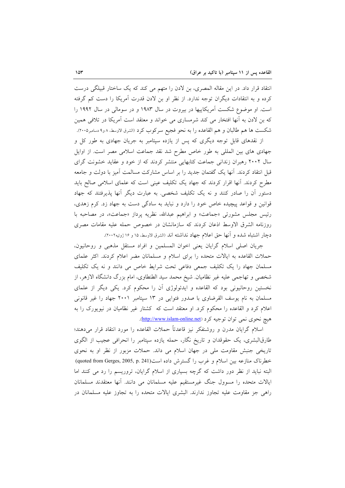انتقاد قرار داد. در این مقاله المصری، بن لادن را متهم می کند که یک ساختار قبیلگی درست کرده و به انتقادات دیگران توجه ندارد. از نظر او بن لادن قدرت آمریکا را دست کم گرفته است. او موضوع شکست آمریکاییها در بیروت در سال ۱۹۸۳ و در سومالی در سال ۱۹۹۲ را که بن لادن به آنها افتخار می کند شرمساری می خواند و معتقد است آمریکا در تلافی همین شکست ها هم طالبان و هم القاعده را به نحو فجیع سرکوب کرد (الشرق الاوسط، ۸ و۹ دسامبر۲۰۰۵).

از نقدهای قابل توجه دیگری که پس از یازده سپتامبر به جریان جهادی به طور کل و جهادی های بین المللی به طور خاص مطرح شد نقد جماعت اسلامی مصر است. از اوایل سال ۲۰۰۲ رهبران زندانی جماعت کتابهایی منتشر کردند که از خود و عقاید خشونت گرای قبل انتقاد کردند. اَنها یک گفتمان جدید را بر اساس مشارکت مسالمت اَمیز با دولت و جامعه مطرح کردند. اَنها اقرار کردند که جهاد یک تکلیف عینی است که علمای اسلامی صالح باید دستور آن را صادر کنند و نه یک تکلیف شخصی. به عبارت دیگر آنها پذیرفتند که جهاد قوانین و قواعد پیچیده خاص خود را دارد و نباید به سادگی دست به جهاد زد. کرم زهدی، رئيس مجلس مشورتي «جماعت» و ابراهيم عبدالله، نظريه پرداز «جماعت»، در مصاحبه با روزنامه الشرق الاوسط اذعان كردند كه سازمانشان در خصوص حمله عليه مقامات مصرى دچار اشتباه شده و أنها حق اعلام جهاد نداشته اند (الشرق الاوسط، ۱۵ و ۱۶ ژوئیه۲۰۰۲).

جريان اصلي اسلام گرايان يعني اخوان المسلمين و افراد مستقل مذهبي و روحانيون، حملات القاعده به ایالات متحده را برای اسلام و مسلمانان مضر اعلام کردند. اکثر علمای مسلمان جهاد را یک تکلیف جمعی دفاعی تحت شرایط خاص می دانند و نه یک تکلیف شخصی و تهاجمی علیه غیر نظامیان. شیخ محمد سید الطنطاوی، امام بزرگ دانشگاه الازهر، از نخستین روحانیونی بود که القاعده و ایدئولوژی أن را محکوم کرد. یکی دیگر از علمای مسلمان به نام یوسف القرضاوی با صدور فتوایی در ۱۳ سپتامبر ۲۰۰۱ جهاد را غیر قانونی اعلام کرد و القاعده را محکوم کرد. او معتقد است که کشتار غیر نظامیان در نیویورک را به هيچ نحوي نمي توان توجيه كرد (http://www.islam-online.net).

اسلام گرایان مدرن و روشنفکر نیز قاعدتاً حملات القاعده را مورد انتقاد قرار میدهند؛ طارقالبشری، یک حقوقدان و تاریخ نگار، حمله یازده سپتامبر را انحرافی عجیب از الگوی تاریخی جنبش مقاومت ملی در جهان اسلام می داند. حملات مزبور از نظر او به نحوی خطرناک منازعه بین اسلام و غرب را گسترش داده است(quoted from Gerges, 2005, p. 241) البته نباید از نظر دور داشت که گرچه بسیاری از اسلام گرایان، تروریسم را رد می کنند اما ايالات متحده را مسوول جنگ غيرمستقيم عليه مسلمانان مي دانند. آنها معتقدند مسلمانان راهی جز مقاومت علیه تجاوز ندارند. البشری ایالات متحده را به تجاوز علیه مسلمانان در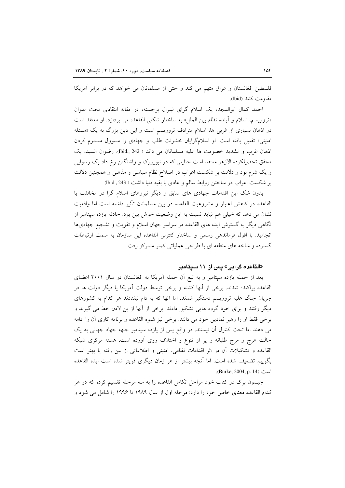فلسطین افغانستان و عراق متهم می کند و حتی از مسلمانان می خواهد که در برابر آمریکا مقاومت كنند (Ibid).

احمد كمال ابوالمجد، يك اسلام گراي ليبرال برجسته، در مقاله انتقادي تحت عنوان «تروریسم، اسلام و آینده نظام بین الملل» به ساختار شکنی القاعده می پردازد. او معتقد است در اذهان بسیاری از غربی ها، اسلام مترادف تروریسم است و این دین بزرگ به یک «مسئله امنیتی» تقلیل یافته است. او اسلامگرایان خشونت طلب و جهادی را مسوول مسموم کردن اذهان غرب وتشديد خصومت ها عليه مسلمانان مي داند ( 342 .bid). رضوان السيد، يك محقق تحصیلکرده الازهر معتقد است جنایتی که در نیویورک و واشنگتن رخ داد یک رسوایی و یک شرم بود و دلالت بر شکست اعراب در اصلاح نظام سیاسی و مذهبی و همچنین دلالت بر شکست اعراب در ساختن روابط سالم و عادی با بقیه دنیا داشت ( Did., 243).

بدون شک این اقدامات جهادی های سابق و دیگر نیروهای اسلام گرا در مخالفت با القاعده در كاهش اعتبار و مشروعيت القاعده در بين مسلمانان تأثير داشته است اما واقعيت نشان می دهد که خیلی هم نباید نسبت به این وضعیت خوش بین بود. حادثه یازده سپتامبر از نگاهی دیگر به گسترش ایده های القاعده در سراسر جهان اسلام و تقویت و تشجیع جهادیها انجاميد. با افول فرماندهي رسمي و ساختار كنترلي القاعده اين سازمان به سمت ارتباطات گسترده و شاخه های منطقه ای با طراحی عملیاتی کمتر متمرکز رفت.

### «القاعده گرايي» پس از ۱۱ سپتامبر

بعد از حمله یازده سپتامبر و به تبع آن حمله آمریکا به افغانستان در سال ۲۰۰۱ اعضای القاعده پراکنده شدند. برخی از آنها کشته و برخی توسط دولت آمریکا یا دیگر دولت ها در جریان جنگ علیه تروریسم دستگیر شدند. اما آنها که به دام نیفتادند هر کدام به کشورهای دیگر رفتند و برای خود گروه هایی تشکیل دادند. برخی از آنها از بن لادن خط می گیرند و برخی فقط او را رهبر نمادین خود می دانند. برخی نیز شیوه القاعده و برنامه کاری آن را ادامه می دهند اما تحت کنترل آن نیستند. در واقع پس از یازده سپتامبر جبهه جهاد جهانی به یک حالت هرج و مرج طلبانه و پر از تنوع و اختلاف روی آورده است. هسته مرکزی شبکه القاعده و تشکیلات أن در اثر اقدامات نظامی، امنیتی و اطلاعاتی از بین رفته یا بهتر است بگوییم تضعیف شده است. اما آنچه بیشتر از هر زمان دیگری قویتر شده است ایده القاعده است (Burke, 2004, p. 14).

جیسون برک در کتاب خود مراحل تکامل القاعده را به سه مرحله تقسیم کرده که در هر کدام القاعده معنای خاص خود را دارد: مرحله اول از سال ۱۹۸۹ تا ۱۹۹۶ را شامل می شود و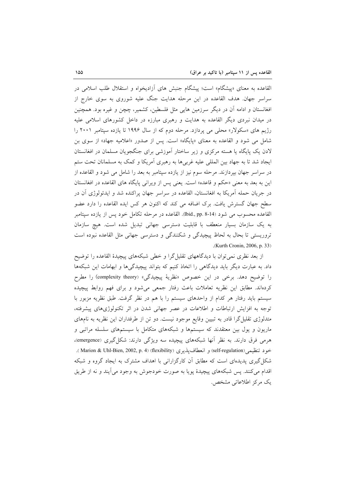القاعده به معنای «پیشگام» است؛ پیشگام جنبش های آزادیخواه و استقلال طلب اسلامی در سراسر جهان. هدف القاعده در این مرحله هدایت جنگ علیه شوروی به سوی خارج از افغانستان و ادامه آن در دیگر سرزمین هایی مثل فلسطین، کشمیر، چچن و غیره بود. همچنین در میدان نبردی دیگر القاعده به هدایت و رهبری مبارزه در داخل کشورهای اسلامی علیه رژیم های «سکولار» محلی می پردازد. مرحله دوم که از سال ۱۹۹۶ تا یازده سپتامبر ۲۰۰۱ را شامل می شود و القاعده به معنای «پایگاه» است. پس از صدور «اعلامیه جهاد» از سوی بن لادن یک پایگاه یا هسته مرکزی و زیر ساختار آموزشی برای جنگجویان مسلمان در افغانستان ایجاد شد تا به جهاد بین المللی علیه غربیها به رهبری آمریکا و کمک به مسلمانان تحت ستم در سراسر جهان بپردازند. مرحله سوم نیز از یازده سپتامبر به بعد را شامل می شود و القاعده از اين به بعد به معنى «حكم و قاعده» است. يعني پس از ويراني پايگاه هاي القاعده در افغانستان در جريان حمله آمريكا به افغانستان، القاعده در سراسر جهان پراكنده شد و ايدئولوژي آن در سطح جهان گسترش یافت. برک اضافه می کند که اکنون هر کس ایده القاعده را دارد عضو القاعده محسوب می شود (Ibid., pp. 8-14). القاعده در مرحله تکامل خود پس از یازده سپتامبر به یک سازمان بسیار منعطف با قابلیت دسترسی جهانی تبدیل شده است. هیچ سازمان تروریستی تا بحال به لحاظ پیچیدگی و شکنندگی و دسترسی جهانی مثل القاعده نبوده است .(Kurth Cronin, 2006, p. 33)

از بعد نظری نمی توان با دیدگاههای تقلیل گرا و خطی شبکههای پیچیدهٔ القاعده را توضیح داد. به عبارت دیگر باید دیدگاهی را اتخاذ کنیم که بتواند پیچیدگیها و ابهامات این شبکهها را توضيح دهد. برخي در اين خصوص «نظريهٔ پيچيدگي» (complexity theory) را مطرح کردهاند. مطابق این نظریه تعاملات باعث رفتار جمعی میشود و برای فهم روابط پیچیده سیستم باید رفتار هر کدام از واحدهای سیستم را با هم در نظر گرفت. طبق نظریه مزبور با توجه به افزایش ارتباطات و اطلاعات در عصر جهانی شدن در اثر تکنولوژیهای پیشرفته، متدلوژی تقلیل گرا قادر به تبیین وقایع موجود نیست. دو تن از طرفداران این نظریه به نامهای ماریون و یول بین معتقدند که سیستمها و شبکههای متکامل با سیستمهای سلسله مراتبی و هرمی فرق دارند. به نظر آنها شبکههای پیچیده سه ویژگی دارند: شکل گیری (emergence)، خود تنظيمي(self-regulation) و انعطاف يذيري (flexibility) (Marion & Uhl-Bien, 2002, p. 4). شکل گیری پدیدهای است که مطابق آن کارگزارانی با اهداف مشترک به ایجاد گروه و شبکه اقدام مي كنند. پس شبكههاي پيچيدهٔ يوپا به صورت خودجوش به وجود مي آيند و نه از طريق یک مرکز اطلاعاتی مشخص.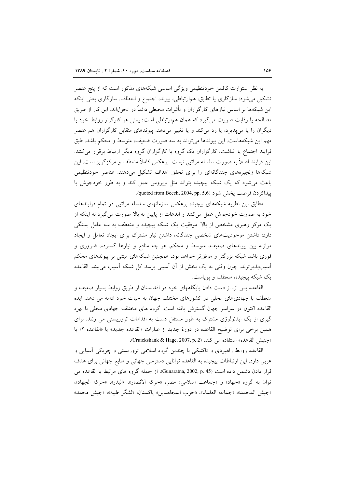به نظر استوارت کافمن خودتنظیمی ویژگی اساسی شبکههای مذکور است که از پنج عنصر تشکیل می شود: سازگاری یا تطابق، همارتباطی، پیوند، اجتماع و انعطاف. سازگاری یعنی اینکه این شبکهها بر اساس نیازهای کارگزاران و تأثیرات محیطی دائماً در تحول\ند. این کار از طریق مصالحه یا رقابت صورت میگیرد که همان هم|رتباطی است؛ یعنی هر کارگزار روابط خود با دیگران را یا می پذیرد، یا رد می کند و یا تغییر می دهد. پیوندهای متقابل کارگزاران هم عنصر مهم این شبکههاست. این پیوندها می تواند به سه صورت ضعیف، متوسط و محکم باشد. طبق فرایند اجتماع یا انباشت، کارگزاران یک گروه با کارگزاران گروه دیگر ارتباط برقرار می کنند. این فرایند اصلاً به صورت سلسله مراتبی نیست. برعکس کاملاً منعطف و مرکزگریز است. این شبکهها زنجیرههای چندگانهای را برای تحقق اهداف تشکیل میدهند. عناصر خودتنظیمی باعث می شود که یک شبکه پیچیده بتواند مثل ویروس عمل کند و به طور خودجوش با ييداكر دن فرصت يخش شود (1,904 quoted from Beech, 2004, pp.

مطابق این نظریه شبکههای پیچیده برعکس سازمانهای سلسله مراتبی در تمام فرایندهای خود به صورت خودجوش عمل میکنند و ابدعات از پایین به بالا صورت میگیرد نه اینکه از یک مرکز رهبری مشخص از بالا. موفقیت یک شبکه پیچیده و منعطف به سه عامل بستگی دارد: داشتن موجودیتهای شخصی چندگانه، داشتن نیاز مشترک برای ایجاد تعامل و ایجاد موازنه بین پیوندهای ضعیف، متوسط و محکم. هر چه منافع و نیازها گسترده، ضروری و فوری باشد شبکه بزرگتر و موفقتر خواهد بود. همچنین شبکههای مبتنی بر پیوندهای محکم آسیبپذیرترند. چون وقتی به یک بخش از آن آسیبی برسد کل شبکه آسیب می بیند. القاعده یک شبکه پیچیده، منعطف و یوپاست.

القاعده پس از، از دست دادن پایگاههای خود در افغانستان از طریق روابط بسیار ضعیف و منعطف با جهادیهای محلی در کشورهای مختلف جهان به حیات خود ادامه می دهد. ایده القاعده اکنون در سراسر جهان گسترش یافته است. گروه های مختلف جهادی محلی با بهره گیری از یک ایدئولوژی مشترک به طور مستقل دست به اقدامات تروریستی می زنند. برای همين برخي براي توضيح القاعده در دورهٔ جديد از عبارات «القاعده جديد» يا «القاعده ٢» يا «جنبش القاعده» استفاده می کنند (Cruickshank & Hage, 2007, p. 2).

القاعده روابط راهبردی و تاکتیکی با چندین گروه اسلامی تروریستی و چریکی اسپایی و عربی دارد. این ارتباطات پیچیده به القاعده توانایی دسترسی جهانی و منابع جهانی برای هدف قرار دادن دشمن داده است Gunaratna, 2002, p. 45). از جمله گروه های مرتبط با القاعده می توان به گروه «جهاد» و «جماعت اسلامی» مصر، «حرکه الانصار»، «البدر»، «حرکه الجهاد»، «جيش المحمد»، «جماعه العلماء»، «حزب المجاهدين» ياكستان، «لشكر طيبه»، «جيش محمد»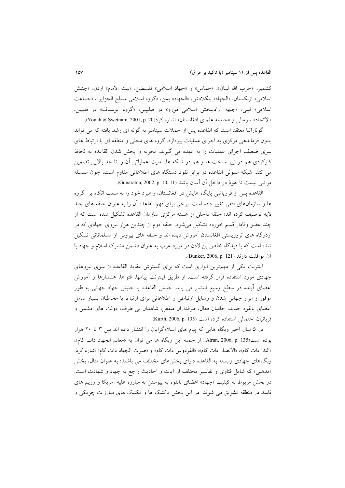كشمير، «حزب الله لبنان»، «حماس» و «جهاد اسلامي» فلسطين، «بيت الامام» اردن، «جنبش اسلامي» ازبكستان، «الجهاد» بنگلادش، «الجهاد» يمن، «گروه اسلامي مسلح الجزاير»، «جماعت اسلامی» لیبی، «جبهه اَزادیبخش اسلامی مورو» در فیلیپین، «گروه ابوسیاف» در فلیپین، «الاتحاد» سومالي و «جامعه علماي افغانستان» اشاره كرد(Yonah & Swetnam, 2001, p. 20

گوناراتنا معتقد است که القاعده پس از حملات سیتامبر به گونه ای رشد یافته که می تواند بدون فرماندهی مرکزی به اجرای عملیات بپردازد. گروه های محلی و منطقه ای با ارتباط های سری ضعیف اجرای عملیات را به عهده می گیرند. تجزیه و پخش شدن القاعده به لحاظ کارکردی هم در زیر ساخت ها و هم در شبکه ها، امنیت عملیاتی آن را تا حد بالایی تضمین می کند. شبکه سلولی القاعده در برابر نفوذ دستگاه های اطلاعاتی مقاوم است، چون سلسله مراتبي نيست تا نفوذ در داخل أن أسان باشد (Gunaratna, 2002, p. 10, 11).

القاعده پس از فرویاشی پایگاه هایش در افغانستان، راهبرد خود را به سمت اتکاء بر گروه ها و سازمانهای افقی تغییر داده است. برخی برای فهم القاعده آن را به عنوان حلقه های چند لايه توصيف كرده اند؛ حلقه داخلي از هسته مركزى سازمان القاعده تشكيل شده است كه از چند عضو وفادار قسم خورده تشکیل میشود. حلقه دوم از چندین هزار نیروی جهادی که در اردوگاه های تروریستی افغانستان آموزش دیده اند و حلقه های بیرونی از مسلمانانی تشکیل شده است که با دیدگاه خاص بن لادن در مورد غرب به عنوان دشمن مشترک اسلام و جهاد با آن موافقت دارند (Bunker, 2006, p. 121).

اینترنت یکی از مهمترین ابزاری است که برای گسترش عقاید القاعده از سوی نیروهای جهادی مورد استفاده قرار گرفته است. از طریق اینترنت پیامها، فتواها، هشدارها و آموزش اعضای أینده در سطح وسیع انتشار می یابد. جنبش القاعده یا جنبش جهاد جهانی به طور موفق از ابزار جهانی شدن و وسایل ارتباطی و اطلاعاتی برای ارتباط با مخاطبان بسیار شامل اعضای بالقوه جدید، حامیان فعال، طرفداران منفعل، شاهدان بی طرف، دولت های دشمن و قربانيان احتمالي استفاده كرده است (Kurth, 2006, p. 135).

در ۵ سال اخیر وبگاه هایی که پیام های اسلامگرایان را انتشار داده اند بین ۳ تا ۲۰ هزار بوده است(Atran, 2006, p. 135). از جمله این وبگاه ها می توان به «معالم الجهاد دات کام»، «الندا دات كام»، «الانصار دات كام»، «الفردوس دات كام» و «صوت الجهاد دات كام» اشاره كرد. وبگاههای جهادی وابسته به القاعده دارای بخشهای مختلف می باشند؛ به عنوان مثال، بخش «مذهبي» كه شامل فتاوى و تفاسير مختلف از آيات و احاديث راجع به جهاد و شهادت است. در بخش مربوط به کیفیت «جهاد» اعضای بالقوه به پیوستن به مبارزه علیه آمریکا و رژیم های فاسد در منطقه تشویق می شوند. در این بخش تاکتیک ها و تکنیک های مبارزات چریکی و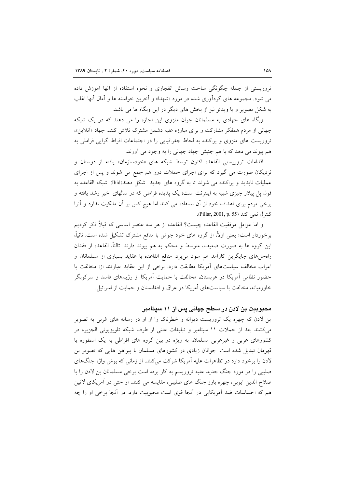تروریستی از جمله چگونگی ساخت وسائل انفجاری و نحوه استفاده از آنها آموزش داده می شود. مجموعه های گردآوری شده در مورد «شهدا» و آخرین خواسته ها و آمال آنها اغلب به شکل تصویر و یا ویدئو نیز از بخش های دیگر در این وبگاه ها می باشد.

وبگاه های جهادی به مسلمانان جوان منزوی این اجازه را می دهند که در یک شبکه جهانی از مردم همفکر مشارکت و برای مبارزه علیه دشمن مشترک تلاش کنند. جهاد «آنلاین»، تروریست های منزوی و پراکنده به لحاظ جغرافیایی را در اجتماعات افراط گرایی فراملی به هم پیوند می دهد که با هم جنبش جهاد جهانی را به وجود می آورند.

اقدامات تروريستي القاعده اكنون توسط شبكه هاي «خودسازمان» يافته از دوستان و نزدیکان صورت می گیرد که برای اجرای حملات دور هم جمع می شوند و پس از اجرای عملیات ناپدید و پراکنده می شوند تا به گروه های جدید شکل دهند(Ibid). شبکه القاعده به قول پل پیلار چیزی شبیه به اینترنت است؛ یک پدیده فراملی که در سالهای اخیر رشد یافته و برخی مردم برای اهداف خود از آن استفاده می کنند اما هیچ کس بر آن مالکیت ندارد و آنرا كنترل نمي كند (Pillar, 2001, p. 55).

و اما عوامل موفقیت القاعده چیست؟ القاعده از هر سه عنصر اساسی که قبلاً ذکر کردیم برخوردار است؛ یعنی اولاً، از گروه های خود جوش با منافع مشترک تشکیل شده است. ثانیاً، این گروه ها به صورت ضعیف، متوسط و محکم به هم پیوند دارند. ثالثاً، القاعده از فقدان راهحلهای جایگزین کارآمد هم سود می برد. منافع القاعده با عقاید بسیاری از مسلمانان و اعراب مخالف سیاستهای آمریکا مطابقت دارد. برخی از این عقاید عبارتند از: مخالفت با حضور نظامی آمریکا در عربستان، مخالفت با حمایت آمریکا از رژیمهای فاسد و سرکوبگر خاورمیانه، مخالفت با سیاستهای آمریکا در عراق و افغانستان و حمایت از اسرائیل.

## محبوبیت بن لادن در سطح جهانی پس از ۱۱ سپتامبر

بن لادن که چهره یک تروریست دیوانه و خطرناک را از او در رسانه های غربی به تصویر می کشند بعد از حملات ۱۱ سیتامبر و تبلیغات علنی از طرف شبکه تلویزیونی الجزیره در کشورهای عربی و غیرعربی مسلمان، به ویژه در بین گروه های افراطی به یک اسطوره یا قهرمان تبدیل شده است. جوانان زیادی در کشورهای مسلمان با پیراهن هایی که تصویر بن لادن را برخود دارد در تظاهرات علیه آمریکا شرکت میکنند. از زمانی که بوش واژه جنگهای صلیبی را در مورد جنگ جدید علیه تروریسم به کار برده است برخی مسلمانان بن لادن را با صلاح الدین ایوبی، چهره بارز جنگ های صلیبی، مقایسه می کنند. او حتی در آمریکای لاتین هم که احساسات ضد آمریکایی در آنجا قوی است محبوبیت دارد. در آنجا برخی او را چه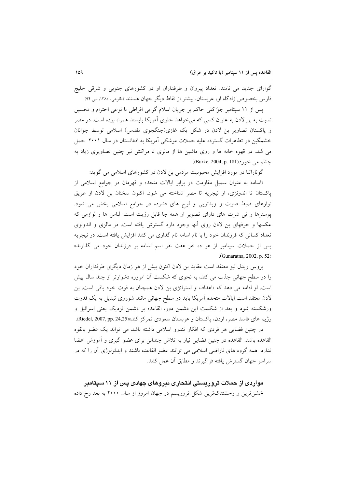گوارای جدید می نامند. تعداد پیروان و طرفداران او در کشورهای جنوبی و شرقی خلیج فارس بخصوص زادگاه او، عربستان، بیشتر از نقاط دیگر جهان هستند (طلوعی، ۱۳۸۰، ص ۹۴).

پس از ۱۱ سپتامبر جو کلی حاکم بر جریان اسلام گرایی افراطی با نوعی احترام و تحسین نسبت به بن لادن به عنوان کسی که می خواهد جلوی آمریکا بایستد همراه بوده است. در مصر و پاکستان تصاویر بن لادن در شکل یک غازی(جنگجوی مقدس) اسلامی توسط جوانان خشمگین در تظاهرات گسترده علیه حملات موشکی آمریکا به افغانستان در سال ۲۰۰۱ حمل می شد. در قهوه خانه ها و روی ماشین ها از مالزی تا مراکش نیز چنین تصاویری زیاد به جشم می خورد(Burke, 2004, p. 181).

گوناراتنا در مورد افزایش محبوبیت مردمی بن لادن در کشورهای اسلامی می گوید:

«اسامه به عنوان سمبل مقاومت در برابر ایالات متحده و قهرمان در جوامع اسلامی از یاکستان تا اندونزی، از نیجریه تا مصر شناخته می شود. اکنون سخنان بن لادن از طریق نوارهای ضبط صوت و ویدئویی و لوح های فشرده در جوامع اسلامی پخش می شود. پوسترها و تبی شرت های دارای تصویر او همه جا قابل رؤیت است. لباس ها و لوازمی که عکسها و حرفهای بن لادن روی آنها وجود دارد گسترش یافته است. در مالزی و اندونزی تعداد کسانی که فرزندان خود را با نام اسامه نام گذاری می کنند افزایش یافته است. در نیجریه پس از حملات سپتامبر از هر ده نفر هفت نفر اسم اسامه بر فرزندان خود می گذارند» .(Gunaratna, 2002, p. 52)

بروس ریدل نیز معتقد است عقاید بن لادن اکنون بیش از هر زمان دیگری طرفداران خود را در سطح جهانی جذب می کند، به نحوی که شکست آن امروزه دشوارتر از چند سال پیش است. او ادامه می دهد که «اهداف و استراتژی بن لادن همچنان به قوت خود باقی است. بن لادن معتقد است ایالات متحده آمریکا باید در سطح جهانی مانند شوروی تبدیل به یک قدرت ورشکسته شود و بعد از شکست این دشمن دور، القاعده بر دشمن نزدیک یعنی اسرائیل و رژیم های فاسد مصر، اردن، پاکستان و عربستان سعودی تمرکز کند»(Riedel, 2007, pp. 24,25).

در چنین فضایی هر فردی که افکار تندرو اسلامی داشته باشد می تواند یک عضو بالقوه القاعده باشد. القاعده در چنین فضایی نیاز به تلاش چندانی برای عضو گیری و آموزش اعضا ندارد. همه گروه های ناراضی اسلامی می توانند عضو القاعده باشند و ایدئولوژی آن را که در سراسر جهان گسترش بافته فراگیرند و مطابق آن عمل کنند.

مواردی از حملات تروریستی انتحاری نیروهای جهادی پس از ۱۱ سیتامبر خشن ترین و وحشتناکترین شکل تروریسم در جهان امروز از سال ۲۰۰۰ به بعد رخ داده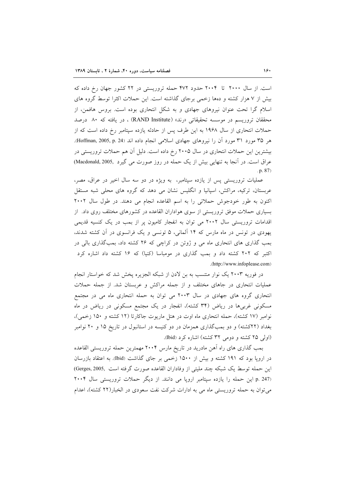است. از سال ۲۰۰۰ تا ۲۰۰۴ حدود ۴۷۲ حمله تروریستی در ۲۲ کشور جهان رخ داده که بیش از ۷ هزار کشته و دهها زخمی برجای گذاشته است. این حملات اکثرا توسط گروه های اسلام گرا تحت عنوان نیروهای جهادی و به شکل انتحاری بوده است. بروس هافمن، از محققان تروریسم در موسسه تحقیقاتی «رند» (RAND Institute) ، در یافته که ۸۰ درصد حملات انتحاری از سال ۱۹۶۸ به این طرف پس از حادثه یازده سپتامبر رخ داده است که از هر ۳۵ مورد ۳۱ مورد آن را نیروهای جهادی اسلامی انجام داده اند (Hoffman, 2005, p. 24). بیشترین این حملات انتحاری در سال ۲۰۰۵ رخ داده است. دلیل آن هم حملات تروریستی در عراق است. در آنجا به تنهایی بیش از یک حمله در روز صورت می گیرد ,Macdonald, 2005)  $(p. 87)$ 

عملیات تروریستی پس از یازده سپتامبر، به ویژه در دو سه سال اخیر در عراق، مصر، عربستان، ترکیه، مراکش، اسپانیا و انگلیس نشان می دهد که گروه های محلی شبه مستقل اکنون به طور خودجوش حملاتی را به اسم القاعده انجام می دهند. در طول سال ۲۰۰۲ بسیاری حملات موفق تروریستی از سوی هواداران القاعده در کشورهای مختلف روی داد. از اقدامات تروریستی سال ۲۰۰۲ می توان به انفجار کامیون پر از بمب در یک کنسیه قدیمی یهودی در تونس در ماه مارس که ۱۴ آلمانی، ۵ تونسی و یک فرانسوی در آن کشته شدند، بمب گذاری های انتحاری ماه می و ژوئن در کراچی که ۲۶ کشته داد، بمبگذاری بالی در اکتبر که ۲۰۲ کشته داد و بمب گذاری در مومباسا (کنیا) که ۱۶ کشته داد اشاره کرد .(http://www.infoplease.com)

در فوریه ۲۰۰۳ یک نوار منتسب به بن لادن از شبکه الجزیره یخش شد که خواستار انجام عملیات انتحاری در جاهای مختلف و از جمله مراکش و عربستان شد. از جمله حملات انتحاری گروه های جهادی در سال ۲۰۰۳ می توان به حمله انتحاری ماه می در مجتمع مسکونی غربیها در ریاض (۳۴ کشته)، انفجار در یک مجتمع مسکونی در ریاض در ماه نوامبر (۱۷ کشته)، حمله انتحاری ماه اوت در هتل ماریوت جاکارتا (۱۲ کشته و ۱۵۰ زخمی)، بغداد (۲۲کشته) و دو بمبگذاری همزمان در دو کنیسه در استانبول در تاریخ ۱۵ و ۲۰ نوامبر (اولی ۲۵ کشته و دومی ۳۲ کشته) اشاره کرد (Ibid).

بمب گذاری های راه آهن مادرید در تاریخ مارس ۲۰۰۴ مهمترین حمله تروریستی القاعده در ارویا بود که ۱۹۱ کشته و بیش از ۱۵۰۰ زخمی بر جای گذاشت (Ibid). به اعتقاد بازرسان اين حمله توسط يک شبکه چند مليتي از وفاداران القاعده صورت گرفته است ,Gerges, 2005) p. 247) این حمله را یازده سپتامبر اروپا می دانند. از دیگر حملات تروریستی سال ۲۰۰۴ می توان به حمله تروریستی ماه می به ادارات شرکت نفت سعودی در الخبار(۲۲ کشته)، اعدام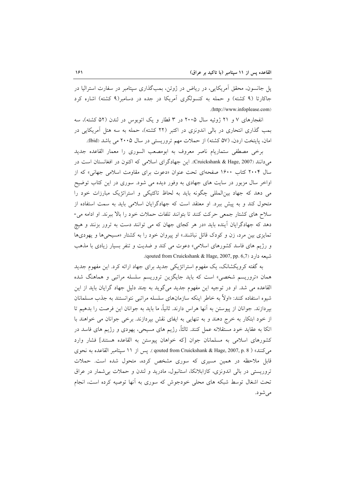پل جانسون، محقق اَمریکایی، در ریاض در ژوئن، بمبگذاری سپتامبر در سفارت استرالیا در جاکارتا (۹ کشته) و حمله به کنسولگری آمریکا در جده در دسامبر(۹ کشته) اشاره کرد .(http://www.infoplease.com)

انفجارهای ۷ و ۲۱ ژوئیه سال ۲۰۰۵ در ۳ قطار و یک اتوبوس در لندن (۵۲ کشته)، سه بمب گذاری انتحاری در بالی اندونزی در اکتبر (۲۲ کشته)، حمله به سه هتل آمریکایی در امان، پایتخت اردن، (۵۷ کشته) از حملات مهم تروریستی در سال ۲۰۰۵ می باشد (bid).

برخي مصطفى ستماريام ناصر معروف به ابومصعب السورى را معمار القاعده جديد م دانند (Cruickshank & Hage, 2007). این جهادگرای اسلامی که اکنون در افغانستان است در سال ۲۰۰۴ کتاب ۱۶۰۰ صفحهای تحت عنوان «دعوت برای مقاومت اسلامی جهانی» که از اواخر سال مزبور در سایت های جهادی به وفور دیده می شود. سوری در این کتاب توضیح می دهد که جهاد بین|لمللی چگونه باید به لحاظ تاکتیکی و استراتژیک مبارزات خود را متحول کند و به پیش ببرد. او معتقد است که جهادگرایان اسلامی باید به سمت استفاده از سلاح های کشتار جمعی حرکت کنند تا بتوانند تلفات حملات خود را بالا ببرند. او ادامه می-دهد که جهادگرایان آینده باید «در هر کجای جهان که می توانند دست به ترور بزنند و هیچ تمایزی بین مرد، زن و کودک قائل نباشند.» او پیروان خود را به کشتار «مسیحیها و یهودیها و رژیم های فاسد کشورهای اسلامی» دعوت می کند و ضدیت و تنفر بسیار زیادی با مذهب .(qouted from Cruickshank & Hage, 2007, pp. 6,7).

به گفته کرویکشانک، یک مفهوم استراتژیکی جدید برای جهاد ارائه کرد. این مفهوم جدید همان «تروریسم شخصی» است که باید جایگزین تروریسم سلسله مراتبی و هماهنگ شده القاعده می شد. او در توجیه این مفهوم جدید میگوید به چند دلیل جهاد گرایان باید از این شیوه استفاده کنند: «اولاً به خاطر اینکه سازمانهای سلسله مراتبی نتوانستند به جذب مسلمانان بیردازند. جوانان از پیوستن به آنها هراس دارند. ثانیاً، ما باید به جوانان این فرصت را بدهیم تا از خود ابتکار به خرج دهند و به تنهایی به ایفای نقش بپردازند. برخی جوانان می خواهند با اتکا به عقاید خود مستقلانه عمل کنند. ثالثاً، رژیم های مسیحی، یهودی و رژیم های فاسد در كشورهاي اسلامي به مسلمانان جوان [كه خواهان ييوستن به القاعده هستند] فشار وارد مي كنند» ( 907, qouted from Cruickshank & Hage, 2007, p. 8 ). يس از ١١ سيتامبر القاعده به نحوى قابل ملاحظه در همین مسیری که سوری مشخص کرده، متحول شده است. حملات تروریستی در بالی اندونزی، کازابلانکا، استانبول، مادرید و لندن و حملات بی شمار در عراق تحت اشغال توسط شبکه های محلی خودجوش که سوری به آنها توصیه کرده است، انجام مى شود.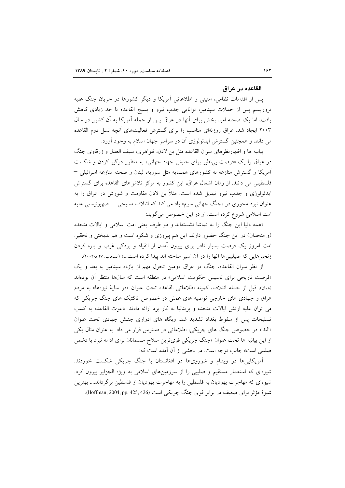#### القاعده در عراق

پس از اقدامات نظامی، امنیتی و اطلاعاتی أمریکا و دیگر کشورها در جریان جنگ علیه تروریسم پس از حملات سپتامبر، توانایی جذب نیرو و بسیج القاعده تا حد زیادی کاهش یافت، اما یک صحنه امید بخش برای آنها در عراق پس از حمله آمریکا به آن کشور در سال ۲۰۰۳ ایجاد شد. عراق روزنهای مناسب را برای گسترش فعالیتهای آنچه نسل دوم القاعده می دانند و همچنین گسترش ایدئولوژی آن در سراسر جهان اسلام به وجود آورد.

بیانیه ها و اظهارنظرهای سران القاعده مثل بن لادن، ظواهری، سیف العدل و زرقاوی جنگ در عراق را یک «فرصت بی نظیر برای جنبش جهاد جهانی» به منظور درگیر کردن و شکست آمریکا و گسترش منازعه به کشورهای همسایه مثل سوریه، لبنان و صحنه منازعه اسرائیلی – فلسطینی می دانند. از زمان اشغال عراق، این کشور به مرکز تلاش های القاعده برای گسترش ایدئولوژی و جذب نیرو تبدیل شده است. مثلاً بن لادن مقاومت و شورش در عراق را به عنوان نبرد محوری در «جنگ جهانی سوم» یاد می کند که ائتلاف مسیحی – صهیونیستی علیه امت اسلامی شروع کرده است. او در این خصوص می گوید:

«همه دنیا این جنگ را به تماشا نشستهاند و دو طرف یعنی امت اسلامی و ایالات متحده (و متحدان) در این جنگ حضور دارند. این هم پیروزی و شکوه است و هم بدبختی و تحقیر. امت امروز یک فرصت بسیار نادر برای بیرون آمدن از انقیاد و بردگی غرب و یاره کردن زنجیرهایی که صیلیبیها آنها را در آن اسیر ساخته اند پیدا کرده است...» (السحاب، ۲۷ مه۲۰۰۴).

از نظر سران القاعده، جنگ در عراق دومین تحول مهم از یازده سپتامبر به بعد و یک «فرصت تاریخی برای تاسیس حکومت اسلامی» در منطقه است که سالها منتظر آن بودهاند (همان). قبل از حمله ائتلاف، كميته اطلاعاتي القاعده تحت عنوان «در ساية نيزهها» به مردم عراق و جهادی های خارجی توصیه های عملی در خصوص تاکتیک های جنگ چریکی که می توان علیه ارتش ایالات متحده و بریتانیا به کار برد ارائه دادند. دعوت القاعده به کسب تسلیحات پس از سقوط بغداد تشدید شد. وبگاه های ادواری جنبش جهادی تحت عنوان «الندا» در خصوص جنگ های چریکی، اطلاعاتی در دسترس قرار می داد. به عنوان مثال یکی از این بیانیه ها تحت عنوان «جنگ چریکی قویترین سلاح مسلمانان برای ادامه نبرد با دشمن صلیبی است» جالب توجه است. در بخشی از آن آمده است که:

آمریکاییها در ویتنام و شورویها در افغانستان با جنگ چریکی شکست خوردند. شیوهای که استعمار مستقیم و صلیبی را از سرزمینهای اسلامی به ویژه الجزایر بیرون کرد. شیوهای که مهاجرت یهودیان به فلسطین را به مهاجرت یهودیان از فلسطین برگرداند.... بهترین شیوهٔ مؤثر برای ضعیف در برابر قوی جنگ چریکی است (Hoffman, 2004, pp. 425, 426).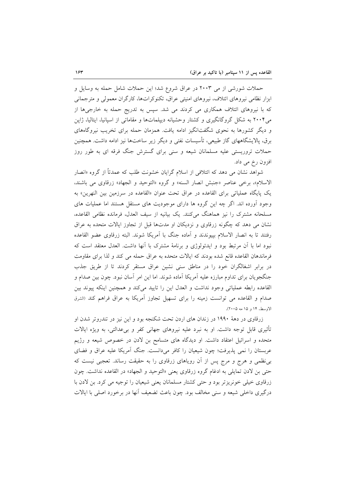حملات شورشی از می ۲۰۰۳ در عراق شروع شد؛ این حملات شامل حمله به وسایل و ابزار نظامی نیروهای ائتلاف، نیروهای امنیتی عراق، تکنوکراتها، کارگران معمولی و مترجمانی که با نیروهای ائتلاف همکاری می کردند می شد. سپس به تدریج حمله به خارجیها از می۲۰۰۴ به شکل گروگانگیری و کشتار وحشیانه دیپلماتها و مقاماتی از اسپانیا، ایتالیا، ژاین و دیگر کشورها به نحوی شگفتانگیز ادامه یافت. همزمان حمله برای تخریب نیروگاههای برق، پالایشگاههای گاز طبیعی، تأسیسات نفتی و دیگر زیر ساختها نیز ادامه داشت. همچنین حملات تروریستی علیه مسلمانان شیعه و سنی برای گسترش جنگ فرقه ای به طور روز افزون رخ می داد.

شواهد نشان می دهد که ائتلافی از اسلام گرایان خشونت طلب که عمدتاً از گروه «انصار الاسلام»، برخي عناصر «جنبش انصار السنه» و گروه «التوحيد و الجهاد» زرقاوي مي باشند، یک پایگاه عملیاتی برای القاعده در عراق تحت عنوان «القاعده در سرزمین بین النهرین» به وجود اَورده اند. اگر چه این گروه ها دارای موجودیت های مستقل هستند اما عملیات های مسلحانه مشترک را نیز هماهنگ میکنند. یک بیانیه از سیف العدل، فرمانده نظامی القاعده، نشان می دهد که چگونه زرقاوی و نزدیکان او مدتها قبل از تجاوز ایالات متحده به عراق رفتند تا به انصار الاسلام بپیوندند و آماده جنگ با آمریکا شوند. البته زرقاوی عضو القاعده نبود اما با آن مرتبط بود و ایدئولوژی و برنامهٔ مشترک با آنها داشت. العدل معتقد است که فرماندهان القاعده قانع شده بودند كه ايالات متحده به عراق حمله مى كند و لذا براى مقاومت در برابر اشغالگران خود را در مناطق سنی نشین عراق مستقر کردند تا از طریق جذب جنگجویان برای تداوم مبارزه علیه آمریکا آماده شوند. اما این امر آسان نبود. چون بین صدام و القاعده رابطه عملیاتی وجود نداشت و العدل این را تایید میکند و همچنین اینکه پیوند بین صدام و القاعده می توانست زمینه را برای تسهیل تجاوز آمریکا به عراق فراهم کند «لشرق الاوسط، ۱۴ و ۱۵ مه ۲۰۰۵).

زرقاوی در دههٔ ۱۹۹۰ در زندان های اردن تحت شکنجه بود و این نیز در تندروتر شدن او تأثیری قابل توجه داشت. او به نبرد علیه نیروهای جهانی کفر و بیعدالتی، به ویژه ایالات متحده و اسرائیل اعتقاد داشت. او دیدگاه های متسامح بن لادن در خصوص شیعه و رژیم عربستان را نمی پذیرفت؛ چون شیعیان را کافر میدانست. جنگ آمریکا علیه عراق و فضای بی نظمی و هرج و مرج پس از آن رویاهای زرقاوی را به حقیقت رساند. تعجبی نیست که حتى بن لادن تمايلي به ادغام گروه زرقاوي يعني «التوحيد و الجهاد» در القاعده نداشت. چون زرقاوی خیلی خونریزتر بود و حتی کشتار مسلمانان یعنی شیعیان را توجیه می کرد. بن لادن با درگیری داخلی شیعه و سنی مخالف بود. چون باعث تضعیف آنها در برخورد اصلی با ایالات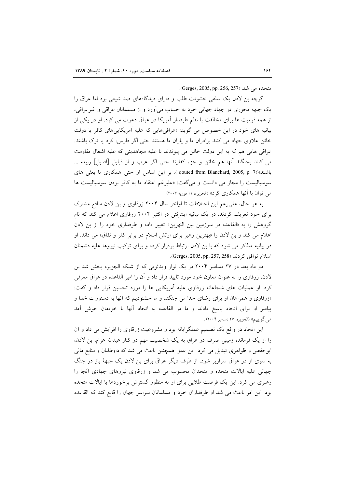متحلده می شد (Gerges, 2005, pp. 256, 257).

گرچه بن لادن یک سلفی خشونت طلب و دارای دیدگاههای ضد شیعی بود اما عراق را یک جبهه محوری در جهاد جهانی خود به حساب میآورد و از مسلمانان عراقبی و غیرعراقبی، از همه قومیت ها برای مخالفت با نظم طرفدار آمریکا در عراق دعوت می کرد. او در یکی از بیانیه های خود در این خصوص می گوید: «عراقی هایی که علیه آمریکایی های کافر یا دولت خائن علاوی جهاد می کنند برادران ما و یاران ما هستند حتی اگر فارس، کرد یا ترک باشند. عراقی هایی هم که به این دولت خائن می پیوندند تا علیه مجاهدینی که علیه اشغال مقاومت می کنند بجنگند آنها هم خائن و جزء کفارند حتی اگر عرب و از قبایل [اصیل] ربیعه … باشند» (pouted from Blanchard, 2005, p. 7). بر این اساس او حتی همکاری با بعثی های سوسیالیست را مجاز می دانست و میگفت: «علیرغم اعتقاد ما به کافر بودن سوسیالیست ها مر توان با آنها همکاری کرد» (الجزیره، ۱۱ فوریه ۲۰۰۳)

به هر حال، على رغم اين اختلافات تا اواخر سال ٢٠٠۴ زرقاوى و بن لادن منافع مشترک برای خود تعریف کردند. در یک بیانیه اینترنتی در اکتبر ۲۰۰۴ زرقاوی اعلام می کند که نام گروهش را به «القاعده در سرزمین بین النهرین» تغییر داده و طرفداری خود را از بن لادن اعلام می کند و بن لادن را «بهترین رهبر برای ارتش اسلام در برابر کفر و نفاق» می داند. او در بیانیه متذکر می شود که با بن لادن ارتباط برقرار کرده و برای ترکیب نیروها علیه دشمنان اسلام توافق كردند (Gerges, 2005, pp. 257, 258).

دو ماه بعد در ۲۷ دسامبر ۲۰۰۴ در یک نوار ویدئویی که از شبکه الجزیره پخش شد بن لادن، زرقاوی را به عنوان معاون خود مورد تایید قرار داد و آن را امیر القاعده در عراق معرفی کرد. او عملیات های شجاعانه زرقاوی علیه أمریکایی ها را مورد تحسین قرار داد و گفت: «زرقاوی و همراهان او برای رضای خدا می جنگند و ما خشنودیم که آنها به دستورات خدا و پیامبر او برای اتحاد پاسخ دادند و ما در القاعده به اتحاد آنها با خودمان خوش آمد مي گوييم» (الجزيره، ٢٧ دسامبر ٢٠٠۴) .

این اتحاد در واقع یک تصمیم عملگرایانه بود و مشروعیت زرقاوی را افزایش می داد و آن را از یک فرمانده زمینی صرف در عراق به یک شخصیت مهم در کنار عبدالله عزام، بن لادن، ابوحفص و ظواهری تبدیل می کرد. این عمل همچنین باعث می شد که داوطلبان و منابع مالی به سوی او در عراق سرازیر شود. از طرف دیگر عراق برای بن لادن یک جبههٔ باز در جنگ جهانی علیه ایالات متحده و متحدان محسوب می شد و زرقاوی نیروهای جهادی آنجا را رهبری می کرد. این یک فرصت طلایی برای او به منظور گسترش برخوردها با ایالات متحده بود. این امر باعث می شد او طرفداران خود و مسلمانان سراسر جهان را قانع کند که القاعده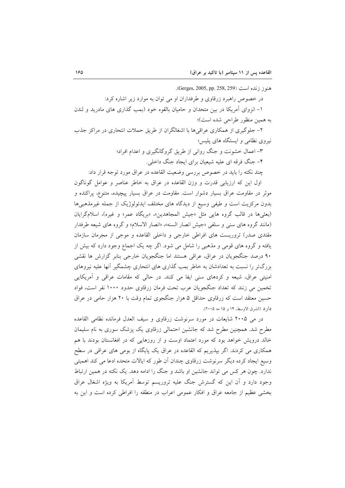هنوز زنده است (Gerges, 2005, pp. 258, 259). در خصوص راهبرد زرقاوی و طرفداران او می توان به موارد زیر اشاره کرد: ۱– انزوای آمریکا در بین متحدان و حامیان بالقوه خود (بمب گذاری های مادرید و لندن به همین منظور طراحی شده است)؛ ۲– جلوگیری از همکاری عراقی ها با اشغالگران از طریق حملات انتحاری در مراکز جذب نیروی نظامی و ایستگاه های پلیس؛

> ۳– اعمال خشونت و جنگ روانی از طریق گروگانگیری و اعدام افراد؛ ۴- جنگ فرقه ای علیه شیعیان برای ایجاد جنگ داخلی.

چند نکته را باید در خصوص بررسی وضعیت القاعده در عراق مورد توجه قرار داد:

اول این که ارزیابی قدرت و وزن القاعده در عراق به خاطر عناصر و عوامل گوناگون موثر در مقاومت عراق بسیار دشوار است. مقاومت در عراق بسیار پیچیده، متنوع، پراکنده و بدون مرکزیت است و طیفی وسیع از دیدگاه های مختلف ایدئولوژیک از جمله غیرمذهبیها (بعثیها در قالب گروه هایی مثل «جیش المجاهدین»، «بریگاد عمر» و غیره)، اسلام گرایان (مانند گروه های سنی و سلفی «جیش انصار السنه»، «انصار الاسلام» و گروه های شیعه طرفدار مقتدی صدر) تروریست های افراطی خارجی و داخلی القاعده و موجی از مجرمان سازمان یافته و گروه های قومی و مذهبی را شامل می شود. اگر چه یک اجماع وجود دارد که بیش از ۹۰ درصد جنگجویان در عراق، عراقی هستند اما جنگجویان خارجی بنابر گزارش ها نقشی بزرگتر را نسبت به تعدادشان به خاطر بمب گذاری های انتحاری چشمگیر آنها علیه نیروهای امنیتی عراق، شیعه و کردهای سنی ایفا می کنند. در حالی که مقامات عراقی و آمریکایی تخمین می زنند که تعداد جنگجویان عرب تحت فرمان زرقاوی حدود ۱۰۰۰ نفر است، فواد حسین معتقد است که زرقاوی حداقل ۵ هزار جنگجوی تمام وقت با ۲۰ هزار حامی در عراق دارد (الشرق الاوسط، ۱۴ و ۱۵ مه ۲۰۰۵).

در می ۲۰۰۵ شایعات در مورد سرنوشت زرقاوی و سیف العدل فرمانده نظامی القاعده مطرح شد. همچنین مطرح شد که جانشین احتمالی زرقاوی یک پزشک سوری به نام سلیمان خالد درویش خواهد بود که مورد اعتماد اوست و از روزهایی که در افغانستان بودند با هم همکاری می کردند. اگر بپذیریم که القاعده در عراق یک پایگاه از بومی های عراقی در سطح وسیع ایجاد کرده دیگر سرنوشت زرقاوی چندان آن طور که ایالات متحده ادعا می کند اهمیتی ندارد. چون هر کس می تواند جانشین او باشد و جنگ را ادامه دهد. یک نکته در همین ارتباط وجود دارد و آن این که گسترش جنگ علیه تروریسم توسط آمریکا به ویژه اشغال عراق بخشی عظیم از جامعه عراق و افکار عمومی اعراب در منطقه را افراطی کرده است و این به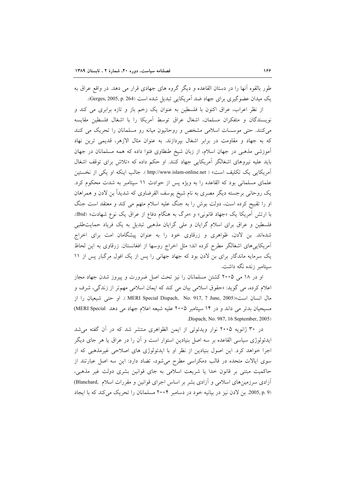طور بالقوه آنها را در دستان القاعده و دیگر گروه های جهادی قرار می دهد. در واقع عراق به یک میدان عضو گیری برای جهاد ضد آمریکایی تبدیل شده است (Gerges, 2005, p. 264).

از نظر اعراب، عراق اکنون با فلسطین به عنوان یک زخم باز و تازه برابری می کند و نویسندگان و متفکران مسلمان، اشغال عراق توسط آمریکا را با اشغال فلسطین مقایسه می کنند. حتی موسسات اسلامی مشخص و روحانیون میانه رو مسلمانان را تحریک می کنند که به جهاد و مقاومت در برابر اشغال بپردازند. به عنوان مثال الازهر، قدیمی ترین نهاد آموزشی مذهبی در جهان اسلام، از زبان شیخ طنطاوی فتوا داده که همه مسلمانان در جهان باید علیه نیروهای اشغالگر آمریکایی جهاد کنند. او حکم داده که «تلاش برای توقف اشغال آمریکایی یک تکلیف است» ( http://www.islam-online.net ). جالب اینکه او یکی از نخستین علمای مسلمانی بود که القاعده را به ویژه پس از حوادث ۱۱ سپتامبر به شدت محکوم کرد. یک روحانی برجسته دیگر مصری به نام شیخ پوسف القرضاوی که شدیداً بن لادن و همراهان او را تقبیح کرده است، دولت بوش را به جنگ علیه اسلام متهم می کند و معتقد است جنگ با ارتش آمریکا یک «جهاد قانونی» و «مرگ به هنگام دفاع از عراق یک نوع شهادت» (Ibid). فلسطین و عراق برای اسلام گرایان و ملی گرایان مذهبی تبدیل به یک فریاد حمایتطلبی شدهاند. بن لادن، ظواهری و زرقاوی خود را به عنوان پیشگامان امت برای اخراج آمریکاییهای اشغالگر مطرح کرده اند؛ مثل اخراج روسها از افغانستان. زرقاوی به این لحاظ یک سرمایه ماندگار برای بن لادن بود که جهاد جهانی را پس از یک افول مرگبار پس از ۱۱ سپتامبر زنده نگه داشت.

او در ۱۸ می ۲۰۰۵ کشتن مسلمانان را نیز تحت اصل ضرورت و پیروز شدن جهاد مجاز اعلام کرده، می گوید: «حقوق اسلامی بیان می کند که ایمان اسلامی مهمتر از زندگی، شرف و مال انسان است»(MERI Special Dispach, No. 917, 7 June, 2005). او حتى شيعيان را از مسیحیان بدتر می داند و در ۱۴ سپتامبر ۲۰۰۵ علیه شیعه اعلام جهاد می دهد MERI Special) Dispach, No. 987, 16 September, 2005).

در ۳۰ ژانویه ۲۰۰۵ نوار ویدئوئی از ایمن الظواهری منتشر شد که در آن گفته می شد ایدئولوژی سیاسی القاعده بر سه اصل بنیادین استوار است و آن را در عراق یا هر جای دیگر اجرا خواهد کرد. این اصول بنیادین از نظر او با ایدئولوژی های اصلاحی غیرمذهبی که از سوی ایالات متحده در قالب دمکراسی مطرح میشود، تضاد دارد: این سه اصل عبارتند از حاکمیت مبتنی بر قانون خدا یا شریعت اسلامی به جای قوانین بشری دولت غیر مذهبی، آزادی سرزمینهای اسلامی و آزادی بشر بر اساس اجرای قوانین و مقررات اسلام ,Blanchard) (2005, p. 9 بن لادن نیز در بیانیه خود در دسامبر ۲۰۰۴ مسلمانان را تحریک میکند که با ایجاد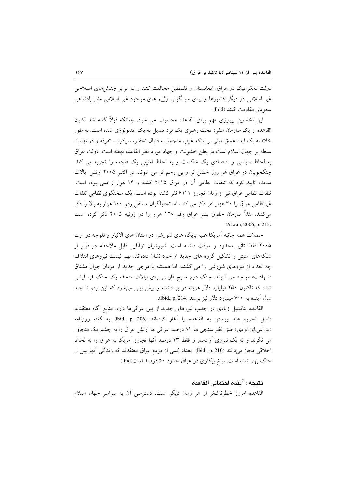دولت دمکراتیک در عراق، افغانستان و فلسطین مخالفت کنند و در برابر جنبشهای اصلاحی غیر اسلامی در دیگر کشورها و برای سرنگونی رژیم های موجود غیر اسلامی مثل پادشاهی سعودي مقاومت كنند (Ibid).

این نخستین پیروزی مهم برای القاعده محسوب می شود. چنانکه قبلاً گفته شد اکنون القاعده از یک سازمان منفرد تحت رهبری یک فرد تبدیل به یک ایدئولوژی شده است. به طور خلاصه یک ایده عمیق مبنی بر اینکه غرب متجاوز به دنبال تحقیر، سرکوب، تفرقه و در نهایت سلطه بر جهان اسلام است در بطن خشونت و جهاد مورد نظر القاعده نهفته است. دولت عراق به لحاظ سیاسی و اقتصادی یک شکست و به لحاظ امنیتی یک فاجعه را تجربه می کند. جنگجویان در عراق هر روز خشن تر و بی رحم تر می شوند. در اکتبر ۲۰۰۵ ارتش ایالات متحده تایید کرد که تلفات نظامی آن در عراق ۲۰۱۵ کشته و ۱۴ هزار زخمی بوده است. تلفات نظامی عراق نیز از زمان تجاوز ۶۱۴۱ نفر کشته بوده است. یک سخنگوی نظامی تلفات غیرنظامی عراق را ۳۰ هزار نفر ذکر می کند، اما تحلیلگران مستقل رقم ۱۰۰ هزار به بالا را ذکر میکنند. مثلاً سازمان حقوق بشر عراق رقم ۱۲۸ هزار را در ژوئیه ۲۰۰۵ ذکر کرده است .(Atwan, 2006, p. 213)

حملات همه جانبه آمریکا علیه پایگاه های شورشی در استان های الانبار و فلوجه در اوت ۲۰۰۵ فقط تاثیر محدود و موقت داشته است. شورشیان توانایی قابل ملاحظه در فرار از شبکههای امنیتی و تشکیل گروه های جدید از خود نشان دادهاند. مهم نیست نیروهای ائتلاف چه تعداد از نیروهای شورشی را می کشند، اما همیشه با موجی جدید از مردان جوان مشتاق «شهادت» مواجه می شوند. جنگ دوم خلیج فارس برای ایالات متحده یک جنگ فرسایشی شده که تاکنون ۲۵۰ میلیارد دلار هزینه در بر داشته و پیش بینی میشود که این رقم تا چند سال آینده به ۷۰۰ میلیارد دلار نیز برسد (Ibid., p. 214).

القاعده پتانسیل زیادی در جذب نیروهای جدید از بین عراقیها دارد. منابع آگاه معتقدند «نسل تحريم ها» پيوستن به القاعده را أغاز كردهاند (Ibid., p. 206). به گفته روزنامه «یو اس ای تودی» طبق نظر سنجی ها ۸۱ درصد عراقبی ها ارتش عراق را به چشم یک متجاوز می نگرند و نه یک نیروی آزادساز و فقط ۱۳ درصد آنها تجاوز آمریکا به عراق را به لحاظ اخلاقی مجاز میدانند (Ibid., p. 210). تعداد کمی از مردم عراق معتقدند که زندگی آنها پس از جنگ بهتر شده است. نرخ بیکاری در عراق حدود ۵۰ درصد است(bid).

#### نتيجه ؛ آينده احتمالي القاعده

القاعده امروز خطرناکتر از هر زمان دیگر است. دسترسی أن به سراسر جهان اسلام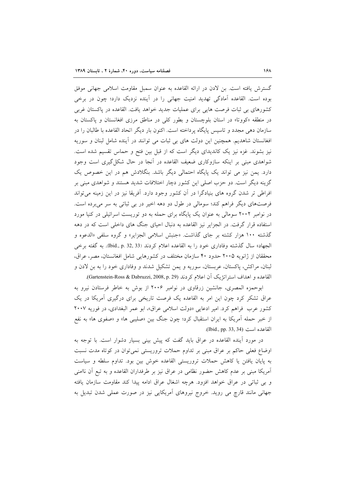گسترش یافته است. بن لادن در ارائه القاعده به عنوان سمبل مقاومت اسلامی جهانی موفق بوده است. القاعده آمادگی تهدید امنیت جهانی را در آینده نزدیک دارد؛ چون در برخی کشورهای بی ثبات فرصت هایی برای عملیات جدید خواهد یافت. القاعده در پاکستان غربی در منطقه «کووتا» در استان بلوچستان و بطور کل<sub>ی</sub> در مناطق مرزی افغانستان و پاکستان به سازمان دهی مجدد و تاسیس پایگاه پرداخته است. اکنون بار دیگر اتحاد القاعده با طالبان را در افغانستان شاهدیم. همچنین این دولت های بی ثبات می توانند در آینده شامل لبنان و سوریه نیز بشوند. غزه نیز یک کاندیدای دیگر است که از قبل بین فتح و حماس تقسیم شده است. شواهدی مبنی بر اینکه سازوکاری ضعیف القاعده در آنجا در حال شکل گیری است وجود دارد. یمن نیز می تواند یک پایگاه احتمالی دیگر باشد. بنگلادش هم در این خصوص یک گزینه دیگر است. دو حزب اصلی این کشور دچار اختلافات شدید هستند و شواهدی مبنی بر افراطی تر شدن گروه های بنیادگرا در آن کشور وجود دارد. آفریقا نیز در این زمینه می تواند فرصتهای دیگر فراهم کند؛ سومالی در طول دو دهه اخیر در بی ثباتی به سر میبرده است. در نوامبر ۲۰۰۲ سومالی به عنوان یک پایگاه برای حمله به دو توریست اسرائیلی در کنیا مورد استفاده قرار گرفت. در الجزایر نیز القاعده به دنبال احیای جنگ های داخلی است که در دهه گذشته ۱۰۰ هزار کشته بر جای گذاشت. «جنبش اسلامی الجزایر» و گروه سلفی «الدعوه و الجهاد» سال گذشته وفاداري خود را به القاعده اعلام كردند (33 ,32 .Ibid., p. به گفته برخي محققان از ژانویه ۲۰۰۵ حدود ۴۰ سازمان مختلف در کشورهایی شامل افغانستان، مصر، عراق، لبنان، مراکش، پاکستان، عربستان، سوریه و یمن تشکیل شدند و وفاداری خود را به بن لادن و القاعده و اهداف استراتژیک اَن اعلام کردند (Gartenstein-Ross & Dabruzzi, 2008, p. 29).

ابوحمزه المصرى، جانشين زرقاوى در نوامبر ٢٠٠۶ از بوش به خاطر فرستادن نيرو به عراق تشکر کرد چون این امر به القاعده یک فرصت تاریخی برای درگیری آمریکا در یک کشور عرب فراهم کرد. امیر ادعایی «دولت اسلامی عراق»، ابو عمر البغدادی، در فوریه ۲۰۰۷ از خبر حمله أمريكا به ايران استقبال كرد؛ چون جنگ بين «صليبي ها» و «صفوى ها» به نفع القاعده است (33, 34 .(Ibid., pp.

در مورد آینده القاعده در عراق باید گفت که پیش بینی بسیار دشوار است. با توجه به اوضاع فعلی حاکم بر عراق مبنی بر تداوم حملات تروریستی نمی توان در کوتاه مدت نسبت به پایان یافتن یا کاهش حملات تروریستی القاعده خوش بین بود. تداوم سلطه و سیاست آمریکا مبنی بر عدم کاهش حضور نظامی در عراق نیز بر طرفداران القاعده و به تبع آن ناامنی و بي ثباتي در عراق خواهد افزود. هرچه اشغال عراق ادامه پيدا كند مقاومت سازمان يافته جهانی مانند قارچ می روید. خروج نیروهای آمریکایی نیز در صورت عملی شدن تبدیل به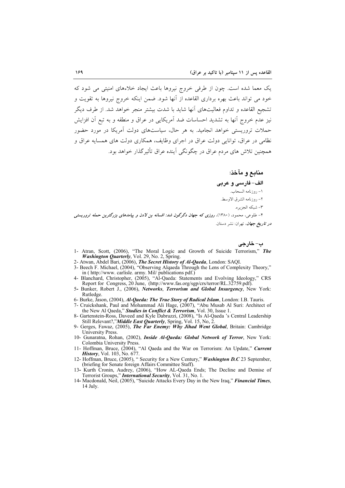یک معما شده است. چون از طرفی خروج نیروها باعث ایجاد خلاءهای امنیتی می شود که خود می تواند باعث بهره برداری القاعده از آنها شود. ضمن اینکه خروج نیروها به تقویت و تشجیع القاعده و تداوم فعالیتهای آنها شاید با شدت بیشتر منجر خواهد شد. از طرف دیگر نیز عدم خروج آنها به تشدید احساسات ضد آمریکایی در عراق و منطقه و به تبع آن افزایش حملات تروریستی خواهد انجامید. به هر حال، سیاستهای دولت آمریکا در مورد حضور نظامی در عراق، توانایی دولت عراق در اجرای وظایف، همکاری دولت های همسایه عراق و همچنین تلاش های مردم عراق در چگونگی آینده عراق تأثیرگذار خواهد بود.

> منابع و مآخذ: الف- فارسي و عربي ١- روزنامه السحاب. ٢- روزنامه الشرق الاوسط. ٣- شبكه الجزيره.

۴- طلوعی، محمود، (۱۳۸۰)، ر*وزی که جهان دگرگون شد: افسانه بن لادن و پیامدهای بزرگت*رین حم*له تروریستی در تاریخ جهان*، تهران: نشر دستان.

ب- خارجي

- 1- Atran, Scott, (2006), "The Moral Logic and Growth of Suicide Terrorism," The Washington Quarterly, Vol. 29, No. 2, Spring.
- 2- Atwan, Abdel Bari, (2006), *The Secret History of Al-Qaeda*, London: SAQI.<br>3- Beech F. Michael, (2004), "Observing Algaeda Through the Lens of Complexity Theory," in (http://www.carlisle.army. Mil/ publications pdf.)
- 4- Blanchard, Christopher, (2005), "Al-Qaeda: Statements and Evolving Ideology," CRS Report for Congress, 20 June, (http://www.fas.org/sgp/crs/terror/RL.32759.pdf).
- 5- Bunker, Robert J., (2006), *Networks*, *Terrorism and Global Insurgency*, New York: Rutledge
- 
- 6- Burke, Jason, (2004), *Al-Qaeda: The True Story of Radical Islam*, London: I.B. Tauris.<br>7- Cruickshank, Paul and Mohammad Ali Hage, (2007), "Abu Musab Al Suri: Architect of the New Al Qaeda," Studies in Conflict & Terrorism, Vol. 30, Issue 1.
- 8- Gartenstein-Ross, Daveed and Kyle Dabruzzi, (2008), "Is Al-Qaeda 's Central Leadership Still Relevant?,"Middle East Quarterly, Spring, Vol. 15, No, 2
- 9- Gerges, Fawaz, (2005), The Far Enemy: Why Jihad Went Global, Britain: Cambridge **University Press**
- 10- Gunaratna, Rohan, (2002), *Inside Al-Qaeda: Global Network of Terror*, New York:
- Colombia University Press.<br>11- Hoffman, Bruce, (2004), "Al Qaeda and the War on Terrorism: An Update," Current<br>*History*, Vol. 103, No. 677.<br>12- Hoffman, Bruce, (2005), "Security for a New Century," *Washington D.C* 23 Sep
- (briefing for Senate foreign Affairs Committee Staff).<br>
13- Kurth Cronin, Audrey, (2006), "How AL-Qaeda Ends; The Decline and Demise of
- Terrorist Groups," International Security, Vol. 31, No. 1.
- 14- Macdonald, Neil, (2005), "Suicide Attacks Every Day in the New Iraq," Financial Times, 14 July